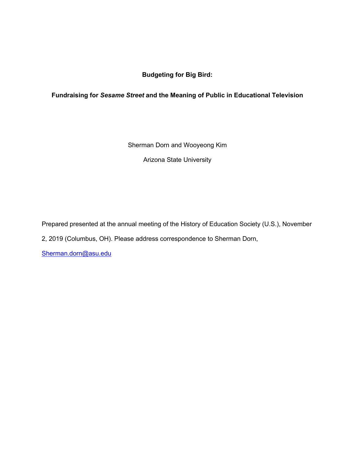**Budgeting for Big Bird:**

# **Fundraising for** *Sesame Street* **and the Meaning of Public in Educational Television**

Sherman Dorn and Wooyeong Kim

Arizona State University

Prepared presented at the annual meeting of the History of Education Society (U.S.), November 2, 2019 (Columbus, OH). Please address correspondence to Sherman Dorn,

Sherman.dorn@asu.edu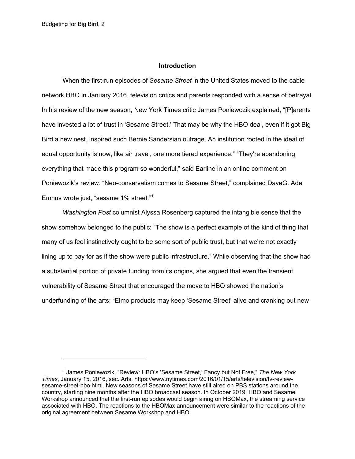#### **Introduction**

When the first-run episodes of *Sesame Street* in the United States moved to the cable network HBO in January 2016, television critics and parents responded with a sense of betrayal. In his review of the new season, New York Times critic James Poniewozik explained, "[P]arents have invested a lot of trust in 'Sesame Street.' That may be why the HBO deal, even if it got Big Bird a new nest, inspired such Bernie Sandersian outrage. An institution rooted in the ideal of equal opportunity is now, like air travel, one more tiered experience." "They're abandoning everything that made this program so wonderful," said Earline in an online comment on Poniewozik's review. "Neo-conservatism comes to Sesame Street," complained DaveG. Ade Emnus wrote just, "sesame 1% street."1

*Washington Post* columnist Alyssa Rosenberg captured the intangible sense that the show somehow belonged to the public: "The show is a perfect example of the kind of thing that many of us feel instinctively ought to be some sort of public trust, but that we're not exactly lining up to pay for as if the show were public infrastructure." While observing that the show had a substantial portion of private funding from its origins, she argued that even the transient vulnerability of Sesame Street that encouraged the move to HBO showed the nation's underfunding of the arts: "Elmo products may keep 'Sesame Street' alive and cranking out new

<sup>1</sup> James Poniewozik, "Review: HBO's 'Sesame Street,' Fancy but Not Free," *The New York Times*, January 15, 2016, sec. Arts, https://www.nytimes.com/2016/01/15/arts/television/tv-reviewsesame-street-hbo.html. New seasons of Sesame Street have still aired on PBS stations around the country, starting nine months after the HBO broadcast season. In October 2019, HBO and Sesame Workshop announced that the first-run episodes would begin airing on HBOMax, the streaming service associated with HBO. The reactions to the HBOMax announcement were similar to the reactions of the original agreement between Sesame Workshop and HBO.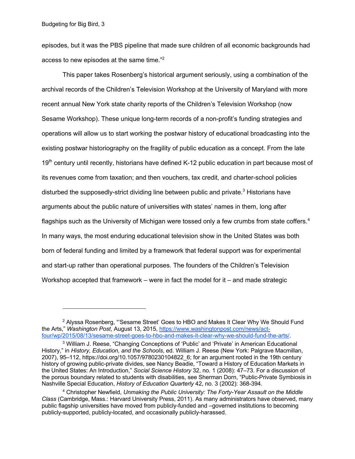episodes, but it was the PBS pipeline that made sure children of all economic backgrounds had access to new episodes at the same time."2

This paper takes Rosenberg's historical argument seriously, using a combination of the archival records of the Children's Television Workshop at the University of Maryland with more recent annual New York state charity reports of the Children's Television Workshop (now Sesame Workshop). These unique long-term records of a non-profit's funding strategies and operations will allow us to start working the postwar history of educational broadcasting into the existing postwar historiography on the fragility of public education as a concept. From the late 19<sup>th</sup> century until recently, historians have defined K-12 public education in part because most of its revenues come from taxation; and then vouchers, tax credit, and charter-school policies disturbed the supposedly-strict dividing line between public and private.<sup>3</sup> Historians have arguments about the public nature of universities with states' names in them, long after flagships such as the University of Michigan were tossed only a few crumbs from state coffers.<sup>4</sup> In many ways, the most enduring educational television show in the United States was both born of federal funding and limited by a framework that federal support was for experimental and start-up rather than operational purposes. The founders of the Children's Television Workshop accepted that framework – were in fact the model for it – and made strategic

<sup>&</sup>lt;sup>2</sup> Alyssa Rosenberg, "'Sesame Street' Goes to HBO and Makes It Clear Why We Should Fund the Arts," *Washington Post*, August 13, 2015, https://www.washingtonpost.com/news/actfour/wp/2015/08/13/sesame-street-goes-to-hbo-and-makes-it-clear-why-we-should-fund-the-arts/.

<sup>&</sup>lt;sup>3</sup> William J. Reese, "Changing Conceptions of 'Public' and 'Private' in American Educational History," in *History, Education, and the Schools*, ed. William J. Reese (New York: Palgrave Macmillan, 2007), 95–112, https://doi.org/10.1057/9780230104822\_6; for an argument rooted in the 19th century history of growing public-private divides, see Nancy Beadie, "Toward a History of Education Markets in the United States: An Introduction," *Social Science History* 32, no. 1 (2008): 47–73. For a discussion of the porous boundary related to students with disabilities, see Sherman Dorn, "Public-Private Symbiosis in Nashville Special Education, *History of Education Quarterly* 42, no. 3 (2002): 368-394.

<sup>4</sup> Christopher Newfield, *Unmaking the Public University: The Forty-Year Assault on the Middle Class* (Cambridge, Mass.: Harvard University Press, 2011). As many administrators have observed, many public flagship universities have moved from publicly-funded and –governed institutions to becoming publicly-supported, publicly-located, and occasionally publicly-harassed.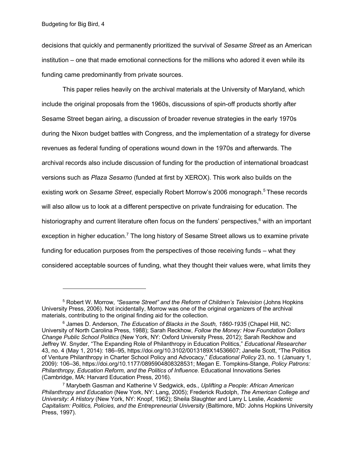decisions that quickly and permanently prioritized the survival of *Sesame Street* as an American institution – one that made emotional connections for the millions who adored it even while its funding came predominantly from private sources.

This paper relies heavily on the archival materials at the University of Maryland, which include the original proposals from the 1960s, discussions of spin-off products shortly after Sesame Street began airing, a discussion of broader revenue strategies in the early 1970s during the Nixon budget battles with Congress, and the implementation of a strategy for diverse revenues as federal funding of operations wound down in the 1970s and afterwards. The archival records also include discussion of funding for the production of international broadcast versions such as *Plaza Sesamo* (funded at first by XEROX). This work also builds on the existing work on *Sesame Street*, especially Robert Morrow's 2006 monograph.<sup>5</sup> These records will also allow us to look at a different perspective on private fundraising for education. The historiography and current literature often focus on the funders' perspectives, $6$  with an important exception in higher education.<sup>7</sup> The long history of Sesame Street allows us to examine private funding for education purposes from the perspectives of those receiving funds – what they considered acceptable sources of funding, what they thought their values were, what limits they

<sup>5</sup> Robert W. Morrow, *"Sesame Street" and the Reform of Children's Television* (Johns Hopkins University Press, 2006). Not incidentally, Morrow was one of the original organizers of the archival materials, contributing to the original finding aid for the collection.

<sup>6</sup> James D. Anderson, *The Education of Blacks in the South, 1860-1935* (Chapel Hill, NC: University of North Carolina Press, 1988); Sarah Reckhow, *Follow the Money: How Foundation Dollars Change Public School Politics* (New York, NY: Oxford University Press, 2012); Sarah Reckhow and Jeffrey W. Snyder, "The Expanding Role of Philanthropy in Education Politics," *Educational Researcher* 43, no. 4 (May 1, 2014): 186–95, https://doi.org/10.3102/0013189X14536607; Janelle Scott, "The Politics of Venture Philanthropy in Charter School Policy and Advocacy," *Educational Policy* 23, no. 1 (January 1, 2009): 106–36, https://doi.org/10.1177/0895904808328531; Megan E. Tompkins-Stange, *Policy Patrons: Philanthropy, Education Reform, and the Politics of Influence*. Educational Innovations Series (Cambridge, MA: Harvard Education Press, 2016).

<sup>7</sup> Marybeth Gasman and Katherine V Sedgwick, eds., *Uplifting a People: African American Philanthropy and Education* (New York, NY: Lang, 2005); Frederick Rudolph, *The American College and University: A History* (New York, NY: Knopf, 1962); Sheila Slaughter and Larry L Leslie, *Academic Capitalism: Politics, Policies, and the Entrepreneurial University* (Baltimore, MD: Johns Hopkins University Press, 1997).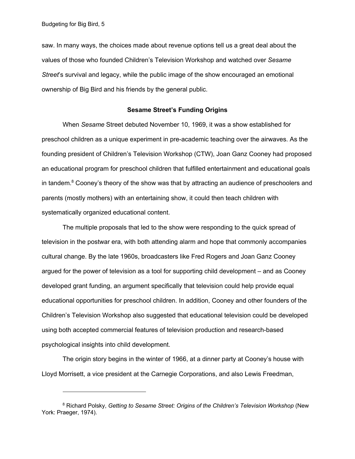saw. In many ways, the choices made about revenue options tell us a great deal about the values of those who founded Children's Television Workshop and watched over *Sesame Street*'s survival and legacy, while the public image of the show encouraged an emotional ownership of Big Bird and his friends by the general public.

### **Sesame Street's Funding Origins**

When *Sesame* Street debuted November 10, 1969, it was a show established for preschool children as a unique experiment in pre-academic teaching over the airwaves. As the founding president of Children's Television Workshop (CTW), Joan Ganz Cooney had proposed an educational program for preschool children that fulfilled entertainment and educational goals in tandem.<sup>8</sup> Cooney's theory of the show was that by attracting an audience of preschoolers and parents (mostly mothers) with an entertaining show, it could then teach children with systematically organized educational content.

The multiple proposals that led to the show were responding to the quick spread of television in the postwar era, with both attending alarm and hope that commonly accompanies cultural change. By the late 1960s, broadcasters like Fred Rogers and Joan Ganz Cooney argued for the power of television as a tool for supporting child development – and as Cooney developed grant funding, an argument specifically that television could help provide equal educational opportunities for preschool children. In addition, Cooney and other founders of the Children's Television Workshop also suggested that educational television could be developed using both accepted commercial features of television production and research-based psychological insights into child development.

The origin story begins in the winter of 1966, at a dinner party at Cooney's house with Lloyd Morrisett, a vice president at the Carnegie Corporations, and also Lewis Freedman,

<sup>8</sup> Richard Polsky, *Getting to Sesame Street: Origins of the Children's Television Workshop* (New York: Praeger, 1974).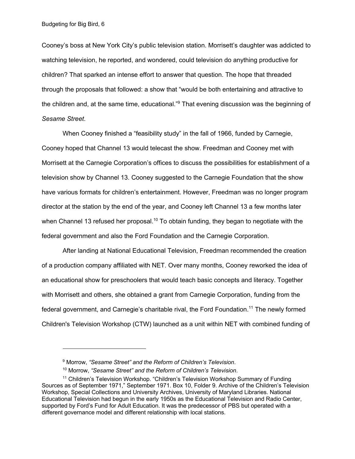Cooney's boss at New York City's public television station. Morrisett's daughter was addicted to watching television, he reported, and wondered, could television do anything productive for children? That sparked an intense effort to answer that question. The hope that threaded through the proposals that followed: a show that "would be both entertaining and attractive to the children and, at the same time, educational."<sup>9</sup> That evening discussion was the beginning of *Sesame Street*.

When Cooney finished a "feasibility study" in the fall of 1966, funded by Carnegie, Cooney hoped that Channel 13 would telecast the show. Freedman and Cooney met with Morrisett at the Carnegie Corporation's offices to discuss the possibilities for establishment of a television show by Channel 13. Cooney suggested to the Carnegie Foundation that the show have various formats for children's entertainment. However, Freedman was no longer program director at the station by the end of the year, and Cooney left Channel 13 a few months later when Channel 13 refused her proposal.<sup>10</sup> To obtain funding, they began to negotiate with the federal government and also the Ford Foundation and the Carnegie Corporation.

After landing at National Educational Television, Freedman recommended the creation of a production company affiliated with NET. Over many months, Cooney reworked the idea of an educational show for preschoolers that would teach basic concepts and literacy. Together with Morrisett and others, she obtained a grant from Carnegie Corporation, funding from the federal government, and Carnegie's charitable rival, the Ford Foundation.<sup>11</sup> The newly formed Children's Television Workshop (CTW) launched as a unit within NET with combined funding of

<sup>9</sup> Morrow, *"Sesame Street" and the Reform of Children's Television*.

<sup>10</sup> Morrow, *"Sesame Street" and the Reform of Children's Television*.

<sup>&</sup>lt;sup>11</sup> Children's Television Workshop. "Children's Television Workshop Summary of Funding Sources as of September 1971," September 1971. Box 10, Folder 9. Archive of the Children's Television Workshop, Special Collections and University Archives, University of Maryland Libraries. National Educational Television had begun in the early 1950s as the Educational Television and Radio Center, supported by Ford's Fund for Adult Education. It was the predecessor of PBS but operated with a different governance model and different relationship with local stations.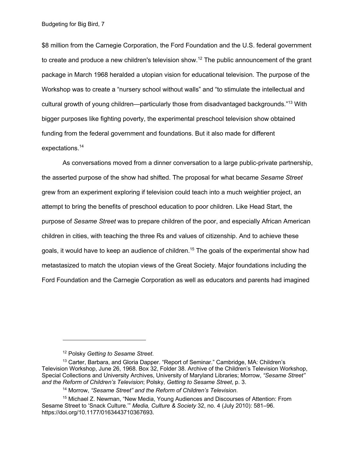Budgeting for Big Bird, 7

\$8 million from the Carnegie Corporation, the Ford Foundation and the U.S. federal government to create and produce a new children's television show.<sup>12</sup> The public announcement of the grant package in March 1968 heralded a utopian vision for educational television. The purpose of the Workshop was to create a "nursery school without walls" and "to stimulate the intellectual and cultural growth of young children—particularly those from disadvantaged backgrounds."<sup>13</sup> With bigger purposes like fighting poverty, the experimental preschool television show obtained funding from the federal government and foundations. But it also made for different expectations. 14

As conversations moved from a dinner conversation to a large public-private partnership, the asserted purpose of the show had shifted. The proposal for what became *Sesame Street* grew from an experiment exploring if television could teach into a much weightier project, an attempt to bring the benefits of preschool education to poor children. Like Head Start, the purpose of *Sesame Street* was to prepare children of the poor, and especially African American children in cities, with teaching the three Rs and values of citizenship. And to achieve these goals, it would have to keep an audience of children.<sup>15</sup> The goals of the experimental show had metastasized to match the utopian views of the Great Society. Major foundations including the Ford Foundation and the Carnegie Corporation as well as educators and parents had imagined

<sup>12</sup> Polsky *Getting to Sesame Street*.

<sup>&</sup>lt;sup>13</sup> Carter, Barbara, and Gloria Dapper. "Report of Seminar." Cambridge, MA: Children's Television Workshop, June 26, 1968. Box 32, Folder 38. Archive of the Children's Television Workshop, Special Collections and University Archives, University of Maryland Libraries; Morrow, *"Sesame Street" and the Reform of Children's Television*; Polsky, *Getting to Sesame Street*, p. 3.

<sup>14</sup> Morrow, *"Sesame Street" and the Reform of Children's Television*.

<sup>15</sup> Michael Z. Newman, "New Media, Young Audiences and Discourses of Attention: From Sesame Street to 'Snack Culture.'" *Media, Culture & Society* 32, no. 4 (July 2010): 581–96. https://doi.org/10.1177/0163443710367693.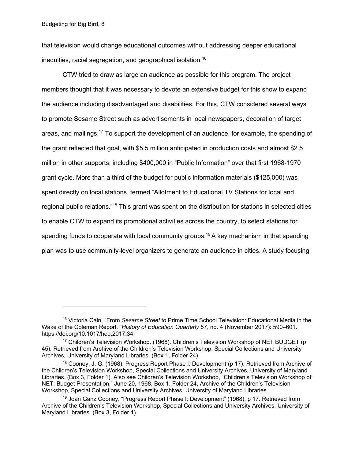that television would change educational outcomes without addressing deeper educational inequities, racial segregation, and geographical isolation.<sup>16</sup>

CTW tried to draw as large an audience as possible for this program. The project members thought that it was necessary to devote an extensive budget for this show to expand the audience including disadvantaged and disabilities. For this, CTW considered several ways to promote Sesame Street such as advertisements in local newspapers, decoration of target areas, and mailings.17 To support the development of an audience, for example, the spending of the grant reflected that goal, with \$5.5 million anticipated in production costs and almost \$2.5 million in other supports, including \$400,000 in "Public Information" over that first 1968-1970 grant cycle. More than a third of the budget for public information materials (\$125,000) was spent directly on local stations, termed "Allotment to Educational TV Stations for local and regional public relations."<sup>18</sup> This grant was spent on the distribution for stations in selected cities to enable CTW to expand its promotional activities across the country, to select stations for spending funds to cooperate with local community groups.<sup>19</sup> A key mechanism in that spending plan was to use community-level organizers to generate an audience in cities. A study focusing

<sup>16</sup> Victoria Cain, "From *Sesame Street* to Prime Time School Television: Educational Media in the Wake of the Coleman Report*," History of Education Quarterly* 57, no. 4 (November 2017): 590–601. https://doi.org/10.1017/heq.2017.34.

<sup>17</sup> Children's Television Workshop. (1968). Children's Television Workshop of NET BUDGET (p 45). Retrieved from Archive of the Children's Television Workshop, Special Collections and University Archives, University of Maryland Libraries. (Box 1, Folder 24)

<sup>&</sup>lt;sup>18</sup> Cooney, J. G. (1968). Progress Report Phase I: Development (p 17). Retrieved from Archive of the Children's Television Workshop, Special Collections and University Archives, University of Maryland Libraries. (Box 3, Folder 1). Also see Children's Television Workshop, "Children's Television Workshop of NET: Budget Presentation," June 20, 1968, Box 1, Folder 24, Archive of the Children's Television Workshop, Special Collections and University Archives, University of Maryland Libraries.

<sup>&</sup>lt;sup>19</sup> Joan Ganz Cooney, "Progress Report Phase I: Development" (1968), p 17. Retrieved from Archive of the Children's Television Workshop, Special Collections and University Archives, University of Maryland Libraries. (Box 3, Folder 1)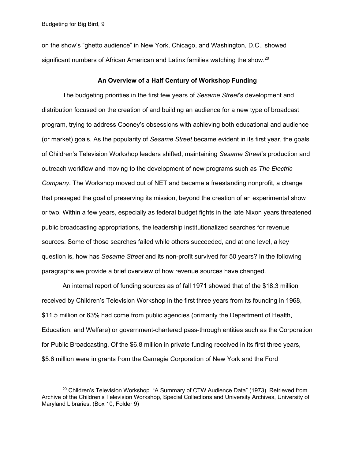Budgeting for Big Bird, 9

on the show's "ghetto audience" in New York, Chicago, and Washington, D.C., showed significant numbers of African American and Latinx families watching the show.<sup>20</sup>

#### **An Overview of a Half Century of Workshop Funding**

The budgeting priorities in the first few years of *Sesame Street*'s development and distribution focused on the creation of and building an audience for a new type of broadcast program, trying to address Cooney's obsessions with achieving both educational and audience (or market) goals. As the popularity of *Sesame Street* became evident in its first year, the goals of Children's Television Workshop leaders shifted, maintaining *Sesame Street*'s production and outreach workflow and moving to the development of new programs such as *The Electric Company*. The Workshop moved out of NET and became a freestanding nonprofit, a change that presaged the goal of preserving its mission, beyond the creation of an experimental show or two. Within a few years, especially as federal budget fights in the late Nixon years threatened public broadcasting appropriations, the leadership institutionalized searches for revenue sources. Some of those searches failed while others succeeded, and at one level, a key question is, how has *Sesame Street* and its non-profit survived for 50 years? In the following paragraphs we provide a brief overview of how revenue sources have changed.

An internal report of funding sources as of fall 1971 showed that of the \$18.3 million received by Children's Television Workshop in the first three years from its founding in 1968, \$11.5 million or 63% had come from public agencies (primarily the Department of Health, Education, and Welfare) or government-chartered pass-through entities such as the Corporation for Public Broadcasting. Of the \$6.8 million in private funding received in its first three years, \$5.6 million were in grants from the Carnegie Corporation of New York and the Ford

 $^{20}$  Children's Television Workshop. "A Summary of CTW Audience Data" (1973). Retrieved from Archive of the Children's Television Workshop, Special Collections and University Archives, University of Maryland Libraries. (Box 10, Folder 9)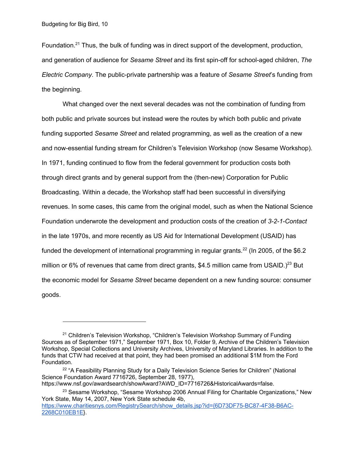Foundation.<sup>21</sup> Thus, the bulk of funding was in direct support of the development, production, and generation of audience for *Sesame Street* and its first spin-off for school-aged children, *The Electric Company*. The public-private partnership was a feature of *Sesame Street*'s funding from the beginning.

What changed over the next several decades was not the combination of funding from both public and private sources but instead were the routes by which both public and private funding supported *Sesame Street* and related programming, as well as the creation of a new and now-essential funding stream for Children's Television Workshop (now Sesame Workshop). In 1971, funding continued to flow from the federal government for production costs both through direct grants and by general support from the (then-new) Corporation for Public Broadcasting. Within a decade, the Workshop staff had been successful in diversifying revenues. In some cases, this came from the original model, such as when the National Science Foundation underwrote the development and production costs of the creation of *3-2-1-Contact* in the late 1970s, and more recently as US Aid for International Development (USAID) has funded the development of international programming in regular grants.<sup>22</sup> (In 2005, of the \$6.2 million or 6% of revenues that came from direct grants, \$4.5 million came from USAID.)<sup>23</sup> But the economic model for *Sesame Street* became dependent on a new funding source: consumer goods.

https://www.nsf.gov/awardsearch/showAward?AWD\_ID=7716726&HistoricalAwards=false.

<sup>&</sup>lt;sup>21</sup> Children's Television Workshop, "Children's Television Workshop Summary of Funding Sources as of September 1971," September 1971, Box 10, Folder 9, Archive of the Children's Television Workshop, Special Collections and University Archives, University of Maryland Libraries. In addition to the funds that CTW had received at that point, they had been promised an additional \$1M from the Ford Foundation.

<sup>&</sup>lt;sup>22</sup> "A Feasibility Planning Study for a Daily Television Science Series for Children" (National Science Foundation Award 7716726, September 28, 1977),

<sup>&</sup>lt;sup>23</sup> Sesame Workshop, "Sesame Workshop 2006 Annual Filing for Charitable Organizations," New York State, May 14, 2007, New York State schedule 4b, https://www.charitiesnys.com/RegistrySearch/show\_details.jsp?id={6D73DF75-BC87-4F38-B6AC-2268C010EB1E}.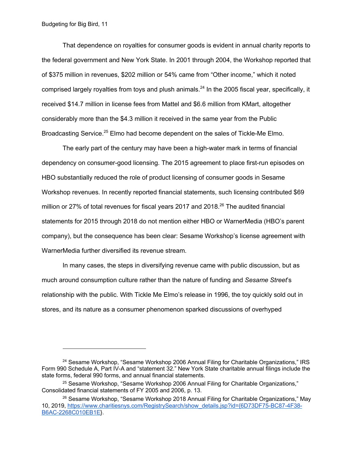That dependence on royalties for consumer goods is evident in annual charity reports to the federal government and New York State. In 2001 through 2004, the Workshop reported that of \$375 million in revenues, \$202 million or 54% came from "Other income," which it noted comprised largely royalties from toys and plush animals.<sup>24</sup> In the 2005 fiscal year, specifically, it received \$14.7 million in license fees from Mattel and \$6.6 million from KMart, altogether considerably more than the \$4.3 million it received in the same year from the Public Broadcasting Service.<sup>25</sup> Elmo had become dependent on the sales of Tickle-Me Elmo.

The early part of the century may have been a high-water mark in terms of financial dependency on consumer-good licensing. The 2015 agreement to place first-run episodes on HBO substantially reduced the role of product licensing of consumer goods in Sesame Workshop revenues. In recently reported financial statements, such licensing contributed \$69 million or 27% of total revenues for fiscal years 2017 and 2018.<sup>26</sup> The audited financial statements for 2015 through 2018 do not mention either HBO or WarnerMedia (HBO's parent company), but the consequence has been clear: Sesame Workshop's license agreement with WarnerMedia further diversified its revenue stream.

In many cases, the steps in diversifying revenue came with public discussion, but as much around consumption culture rather than the nature of funding and *Sesame Street*'s relationship with the public. With Tickle Me Elmo's release in 1996, the toy quickly sold out in stores, and its nature as a consumer phenomenon sparked discussions of overhyped

<sup>&</sup>lt;sup>24</sup> Sesame Workshop, "Sesame Workshop 2006 Annual Filing for Charitable Organizations," IRS Form 990 Schedule A, Part IV-A and "statement 32." New York State charitable annual filings include the state forms, federal 990 forms, and annual financial statements.

<sup>&</sup>lt;sup>25</sup> Sesame Workshop, "Sesame Workshop 2006 Annual Filing for Charitable Organizations," Consolidated financial statements of FY 2005 and 2006, p. 13.

<sup>&</sup>lt;sup>26</sup> Sesame Workshop, "Sesame Workshop 2018 Annual Filing for Charitable Organizations," May 10, 2019, https://www.charitiesnys.com/RegistrySearch/show\_details.jsp?id={6D73DF75-BC87-4F38- B6AC-2268C010EB1E}.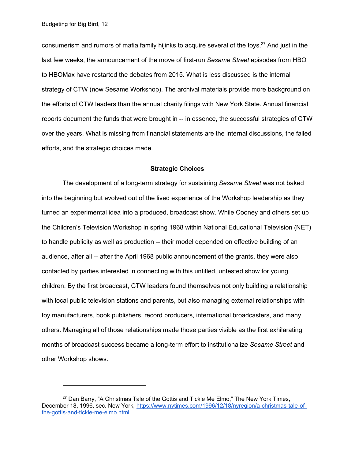consumerism and rumors of mafia family hijinks to acquire several of the toys.<sup>27</sup> And just in the last few weeks, the announcement of the move of first-run *Sesame Street* episodes from HBO to HBOMax have restarted the debates from 2015. What is less discussed is the internal strategy of CTW (now Sesame Workshop). The archival materials provide more background on the efforts of CTW leaders than the annual charity filings with New York State. Annual financial reports document the funds that were brought in -- in essence, the successful strategies of CTW over the years. What is missing from financial statements are the internal discussions, the failed efforts, and the strategic choices made.

### **Strategic Choices**

The development of a long-term strategy for sustaining *Sesame Street* was not baked into the beginning but evolved out of the lived experience of the Workshop leadership as they turned an experimental idea into a produced, broadcast show. While Cooney and others set up the Children's Television Workshop in spring 1968 within National Educational Television (NET) to handle publicity as well as production -- their model depended on effective building of an audience, after all -- after the April 1968 public announcement of the grants, they were also contacted by parties interested in connecting with this untitled, untested show for young children. By the first broadcast, CTW leaders found themselves not only building a relationship with local public television stations and parents, but also managing external relationships with toy manufacturers, book publishers, record producers, international broadcasters, and many others. Managing all of those relationships made those parties visible as the first exhilarating months of broadcast success became a long-term effort to institutionalize *Sesame Street* and other Workshop shows.

 $27$  Dan Barry, "A Christmas Tale of the Gottis and Tickle Me Elmo," The New York Times, December 18, 1996, sec. New York, https://www.nytimes.com/1996/12/18/nyregion/a-christmas-tale-ofthe-gottis-and-tickle-me-elmo.html.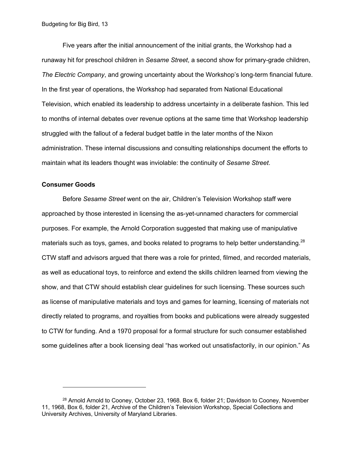Five years after the initial announcement of the initial grants, the Workshop had a runaway hit for preschool children in *Sesame Street*, a second show for primary-grade children, *The Electric Company*, and growing uncertainty about the Workshop's long-term financial future. In the first year of operations, the Workshop had separated from National Educational Television, which enabled its leadership to address uncertainty in a deliberate fashion. This led to months of internal debates over revenue options at the same time that Workshop leadership struggled with the fallout of a federal budget battle in the later months of the Nixon administration. These internal discussions and consulting relationships document the efforts to maintain what its leaders thought was inviolable: the continuity of *Sesame Street*.

#### **Consumer Goods**

Before *Sesame Street* went on the air, Children's Television Workshop staff were approached by those interested in licensing the as-yet-unnamed characters for commercial purposes. For example, the Arnold Corporation suggested that making use of manipulative materials such as toys, games, and books related to programs to help better understanding.<sup>28</sup> CTW staff and advisors argued that there was a role for printed, filmed, and recorded materials, as well as educational toys, to reinforce and extend the skills children learned from viewing the show, and that CTW should establish clear guidelines for such licensing. These sources such as license of manipulative materials and toys and games for learning, licensing of materials not directly related to programs, and royalties from books and publications were already suggested to CTW for funding. And a 1970 proposal for a formal structure for such consumer established some guidelines after a book licensing deal "has worked out unsatisfactorily, in our opinion." As

 $28$  Arnold Arnold to Cooney, October 23, 1968. Box 6, folder 21; Davidson to Cooney, November 11, 1968, Box 6, folder 21, Archive of the Children's Television Workshop, Special Collections and University Archives, University of Maryland Libraries.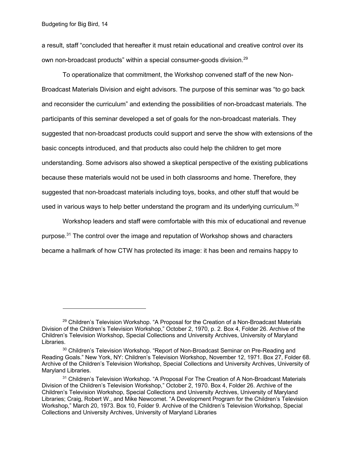a result, staff "concluded that hereafter it must retain educational and creative control over its own non-broadcast products" within a special consumer-goods division.<sup>29</sup>

To operationalize that commitment, the Workshop convened staff of the new Non-Broadcast Materials Division and eight advisors. The purpose of this seminar was "to go back and reconsider the curriculum" and extending the possibilities of non-broadcast materials. The participants of this seminar developed a set of goals for the non-broadcast materials. They suggested that non-broadcast products could support and serve the show with extensions of the basic concepts introduced, and that products also could help the children to get more understanding. Some advisors also showed a skeptical perspective of the existing publications because these materials would not be used in both classrooms and home. Therefore, they suggested that non-broadcast materials including toys, books, and other stuff that would be used in various ways to help better understand the program and its underlying curriculum.<sup>30</sup>

Workshop leaders and staff were comfortable with this mix of educational and revenue purpose.<sup>31</sup> The control over the image and reputation of Workshop shows and characters became a hallmark of how CTW has protected its image: it has been and remains happy to

<sup>&</sup>lt;sup>29</sup> Children's Television Workshop. "A Proposal for the Creation of a Non-Broadcast Materials Division of the Children's Television Workshop," October 2, 1970, p. 2. Box 4, Folder 26. Archive of the Children's Television Workshop, Special Collections and University Archives, University of Maryland Libraries.

<sup>&</sup>lt;sup>30</sup> Children's Television Workshop. "Report of Non-Broadcast Seminar on Pre-Reading and Reading Goals." New York, NY: Children's Television Workshop, November 12, 1971. Box 27, Folder 68. Archive of the Children's Television Workshop, Special Collections and University Archives, University of Maryland Libraries.

<sup>&</sup>lt;sup>31</sup> Children's Television Workshop. "A Proposal For The Creation of A Non-Broadcast Materials Division of the Children's Television Workshop," October 2, 1970. Box 4, Folder 26. Archive of the Children's Television Workshop, Special Collections and University Archives, University of Maryland Libraries; Craig, Robert W., and Mike Newcomet. "A Development Program for the Children's Television Workshop," March 20, 1973. Box 10, Folder 9. Archive of the Children's Television Workshop, Special Collections and University Archives, University of Maryland Libraries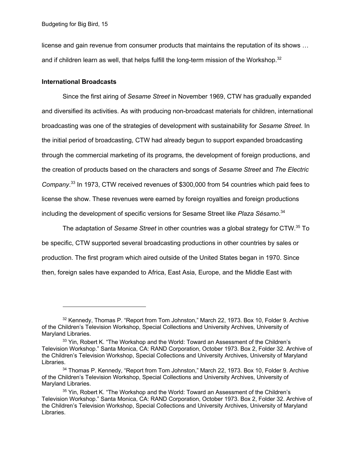license and gain revenue from consumer products that maintains the reputation of its shows … and if children learn as well, that helps fulfill the long-term mission of the Workshop. $32$ 

### **International Broadcasts**

Since the first airing of *Sesame Street* in November 1969, CTW has gradually expanded and diversified its activities. As with producing non-broadcast materials for children, international broadcasting was one of the strategies of development with sustainability for *Sesame Street*. In the initial period of broadcasting, CTW had already begun to support expanded broadcasting through the commercial marketing of its programs, the development of foreign productions, and the creation of products based on the characters and songs of *Sesame Street* and *The Electric Company*. <sup>33</sup> In 1973, CTW received revenues of \$300,000 from 54 countries which paid fees to license the show. These revenues were earned by foreign royalties and foreign productions including the development of specific versions for Sesame Street like *Plaza Sésamo*. 34

The adaptation of *Sesame Street* in other countries was a global strategy for CTW.35 To be specific, CTW supported several broadcasting productions in other countries by sales or production. The first program which aired outside of the United States began in 1970. Since then, foreign sales have expanded to Africa, East Asia, Europe, and the Middle East with

 $32$  Kennedy, Thomas P. "Report from Tom Johnston," March 22, 1973. Box 10, Folder 9. Archive of the Children's Television Workshop, Special Collections and University Archives, University of Maryland Libraries.

<sup>&</sup>lt;sup>33</sup> Yin, Robert K. "The Workshop and the World: Toward an Assessment of the Children's Television Workshop." Santa Monica, CA: RAND Corporation, October 1973. Box 2, Folder 32. Archive of the Children's Television Workshop, Special Collections and University Archives, University of Maryland Libraries.

<sup>&</sup>lt;sup>34</sup> Thomas P. Kennedy, "Report from Tom Johnston," March 22, 1973. Box 10, Folder 9. Archive of the Children's Television Workshop, Special Collections and University Archives, University of Maryland Libraries.

<sup>&</sup>lt;sup>35</sup> Yin, Robert K. "The Workshop and the World: Toward an Assessment of the Children's Television Workshop." Santa Monica, CA: RAND Corporation, October 1973. Box 2, Folder 32. Archive of the Children's Television Workshop, Special Collections and University Archives, University of Maryland Libraries.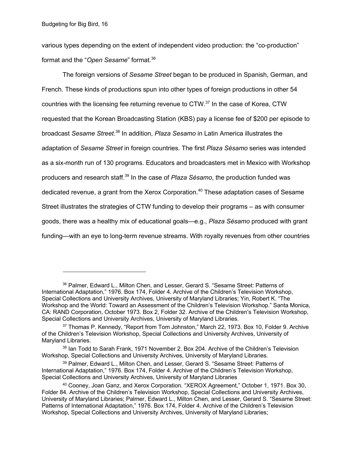various types depending on the extent of independent video production: the "co-production" format and the "*Open Sesame*" format.36

The foreign versions of *Sesame Street* began to be produced in Spanish, German, and French. These kinds of productions spun into other types of foreign productions in other 54 countries with the licensing fee returning revenue to CTW.<sup>37</sup> In the case of Korea, CTW requested that the Korean Broadcasting Station (KBS) pay a license fee of \$200 per episode to broadcast *Sesame Street*. <sup>38</sup> In addition, *Plaza Sesamo* in Latin America illustrates the adaptation of *Sesame Street* in foreign countries. The first *Plaza Sésamo* series was intended as a six-month run of 130 programs. Educators and broadcasters met in Mexico with Workshop producers and research staff. <sup>39</sup> In the case of *Plaza Sésamo*, the production funded was dedicated revenue, a grant from the Xerox Corporation.<sup>40</sup> These adaptation cases of Sesame Street illustrates the strategies of CTW funding to develop their programs – as with consumer goods, there was a healthy mix of educational goals—e.g., *Plaza Sésamo* produced with grant funding—with an eye to long-term revenue streams. With royalty revenues from other countries

<sup>36</sup> Palmer, Edward L., Milton Chen, and Lesser, Gerard S. "Sesame Street: Patterns of International Adaptation," 1976. Box 174, Folder 4. Archive of the Children's Television Workshop, Special Collections and University Archives, University of Maryland Libraries; Yin, Robert K. "The Workshop and the World: Toward an Assessment of the Children's Television Workshop." Santa Monica, CA: RAND Corporation, October 1973. Box 2, Folder 32. Archive of the Children's Television Workshop, Special Collections and University Archives, University of Maryland Libraries.

<sup>37</sup> Thomas P. Kennedy, "Report from Tom Johnston," March 22, 1973. Box 10, Folder 9. Archive of the Children's Television Workshop, Special Collections and University Archives, University of Maryland Libraries.

<sup>&</sup>lt;sup>38</sup> Ian Todd to Sarah Frank, 1971 November 2, Box 204, Archive of the Children's Television Workshop, Special Collections and University Archives, University of Maryland Libraries.

<sup>&</sup>lt;sup>39</sup> Palmer, Edward L., Milton Chen, and Lesser, Gerard S. "Sesame Street: Patterns of International Adaptation," 1976. Box 174, Folder 4. Archive of the Children's Television Workshop, Special Collections and University Archives, University of Maryland Libraries

<sup>40</sup> Cooney, Joan Ganz, and Xerox Corporation. "XEROX Agreement," October 1, 1971. Box 30, Folder 84. Archive of the Children's Television Workshop, Special Collections and University Archives, University of Maryland Libraries; Palmer, Edward L., Milton Chen, and Lesser, Gerard S. "Sesame Street: Patterns of International Adaptation," 1976. Box 174, Folder 4. Archive of the Children's Television Workshop, Special Collections and University Archives, University of Maryland Libraries;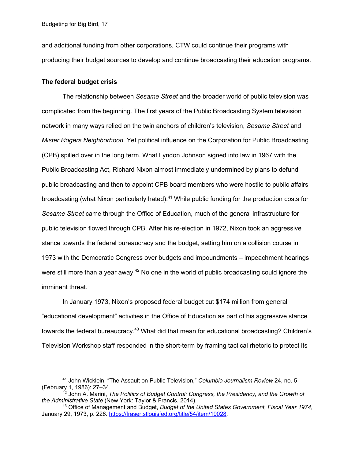Budgeting for Big Bird, 17

and additional funding from other corporations, CTW could continue their programs with producing their budget sources to develop and continue broadcasting their education programs.

#### **The federal budget crisis**

The relationship between *Sesame Street* and the broader world of public television was complicated from the beginning. The first years of the Public Broadcasting System television network in many ways relied on the twin anchors of children's television, *Sesame Street* and *Mister Rogers Neighborhood*. Yet political influence on the Corporation for Public Broadcasting (CPB) spilled over in the long term. What Lyndon Johnson signed into law in 1967 with the Public Broadcasting Act, Richard Nixon almost immediately undermined by plans to defund public broadcasting and then to appoint CPB board members who were hostile to public affairs broadcasting (what Nixon particularly hated).<sup>41</sup> While public funding for the production costs for *Sesame Street* came through the Office of Education, much of the general infrastructure for public television flowed through CPB. After his re-election in 1972, Nixon took an aggressive stance towards the federal bureaucracy and the budget, setting him on a collision course in 1973 with the Democratic Congress over budgets and impoundments – impeachment hearings were still more than a year away. $42$  No one in the world of public broadcasting could ignore the imminent threat.

In January 1973, Nixon's proposed federal budget cut \$174 million from general "educational development" activities in the Office of Education as part of his aggressive stance towards the federal bureaucracy.<sup>43</sup> What did that mean for educational broadcasting? Children's Television Workshop staff responded in the short-term by framing tactical rhetoric to protect its

<sup>41</sup> John Wicklein, "The Assault on Public Television," *Columbia Journalism Review* 24, no. 5 (February 1, 1986): 27–34.

<sup>42</sup> John A. Marini, *The Politics of Budget Control: Congress, the Presidency, and the Growth of the Administrative State* (New York: Taylor & Francis, 2014).

<sup>43</sup> Office of Management and Budget, *Budget of the United States Government, Fiscal Year 1974*, January 29, 1973, p. 226. https://fraser.stlouisfed.org/title/54/item/19028.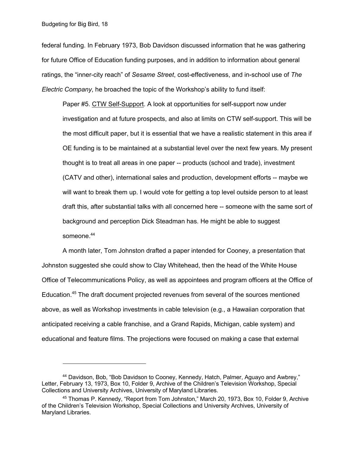federal funding. In February 1973, Bob Davidson discussed information that he was gathering for future Office of Education funding purposes, and in addition to information about general ratings, the "inner-city reach" of *Sesame Street*, cost-effectiveness, and in-school use of *The Electric Company*, he broached the topic of the Workshop's ability to fund itself:

Paper #5. CTW Self-Support. A look at opportunities for self-support now under investigation and at future prospects, and also at limits on CTW self-support. This will be the most difficult paper, but it is essential that we have a realistic statement in this area if OE funding is to be maintained at a substantial level over the next few years. My present thought is to treat all areas in one paper -- products (school and trade), investment (CATV and other), international sales and production, development efforts -- maybe we will want to break them up. I would vote for getting a top level outside person to at least draft this, after substantial talks with all concerned here -- someone with the same sort of background and perception Dick Steadman has. He might be able to suggest someone.<sup>44</sup>

A month later, Tom Johnston drafted a paper intended for Cooney, a presentation that Johnston suggested she could show to Clay Whitehead, then the head of the White House Office of Telecommunications Policy, as well as appointees and program officers at the Office of Education.<sup>45</sup> The draft document projected revenues from several of the sources mentioned above, as well as Workshop investments in cable television (e.g., a Hawaiian corporation that anticipated receiving a cable franchise, and a Grand Rapids, Michigan, cable system) and educational and feature films. The projections were focused on making a case that external

<sup>44</sup> Davidson, Bob, "Bob Davidson to Cooney, Kennedy, Hatch, Palmer, Aguayo and Awbrey," Letter, February 13, 1973, Box 10, Folder 9, Archive of the Children's Television Workshop, Special Collections and University Archives, University of Maryland Libraries.

<sup>&</sup>lt;sup>45</sup> Thomas P. Kennedy, "Report from Tom Johnston," March 20, 1973, Box 10, Folder 9, Archive of the Children's Television Workshop, Special Collections and University Archives, University of Maryland Libraries.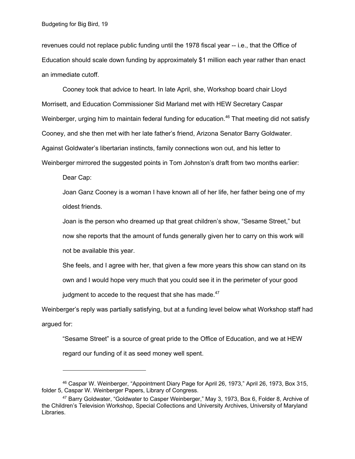revenues could not replace public funding until the 1978 fiscal year -- i.e., that the Office of Education should scale down funding by approximately \$1 million each year rather than enact an immediate cutoff.

Cooney took that advice to heart. In late April, she, Workshop board chair Lloyd Morrisett, and Education Commissioner Sid Marland met with HEW Secretary Caspar Weinberger, urging him to maintain federal funding for education.<sup>46</sup> That meeting did not satisfy Cooney, and she then met with her late father's friend, Arizona Senator Barry Goldwater. Against Goldwater's libertarian instincts, family connections won out, and his letter to Weinberger mirrored the suggested points in Tom Johnston's draft from two months earlier:

Dear Cap:

Joan Ganz Cooney is a woman I have known all of her life, her father being one of my oldest friends.

Joan is the person who dreamed up that great children's show, "Sesame Street," but now she reports that the amount of funds generally given her to carry on this work will not be available this year.

She feels, and I agree with her, that given a few more years this show can stand on its own and I would hope very much that you could see it in the perimeter of your good judgment to accede to the request that she has made. $47$ 

Weinberger's reply was partially satisfying, but at a funding level below what Workshop staff had argued for:

"Sesame Street" is a source of great pride to the Office of Education, and we at HEW regard our funding of it as seed money well spent.

<sup>46</sup> Caspar W. Weinberger, "Appointment Diary Page for April 26, 1973," April 26, 1973, Box 315, folder 5, Caspar W. Weinberger Papers, Library of Congress.

<sup>47</sup> Barry Goldwater, "Goldwater to Casper Weinberger," May 3, 1973, Box 6, Folder 8, Archive of the Children's Television Workshop, Special Collections and University Archives, University of Maryland Libraries.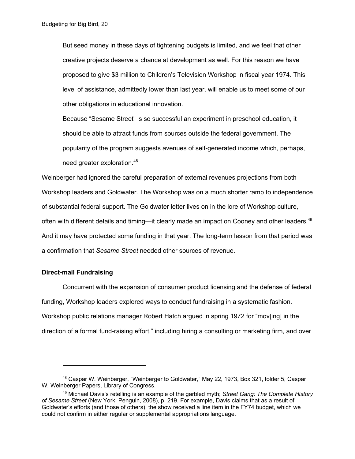But seed money in these days of tightening budgets is limited, and we feel that other creative projects deserve a chance at development as well. For this reason we have proposed to give \$3 million to Children's Television Workshop in fiscal year 1974. This level of assistance, admittedly lower than last year, will enable us to meet some of our other obligations in educational innovation.

Because "Sesame Street" is so successful an experiment in preschool education, it should be able to attract funds from sources outside the federal government. The popularity of the program suggests avenues of self-generated income which, perhaps, need greater exploration.<sup>48</sup>

Weinberger had ignored the careful preparation of external revenues projections from both Workshop leaders and Goldwater. The Workshop was on a much shorter ramp to independence of substantial federal support. The Goldwater letter lives on in the lore of Workshop culture, often with different details and timing—it clearly made an impact on Cooney and other leaders.<sup>49</sup> And it may have protected some funding in that year. The long-term lesson from that period was a confirmation that *Sesame Street* needed other sources of revenue.

## **Direct-mail Fundraising**

Concurrent with the expansion of consumer product licensing and the defense of federal funding, Workshop leaders explored ways to conduct fundraising in a systematic fashion. Workshop public relations manager Robert Hatch argued in spring 1972 for "mov[ing] in the direction of a formal fund-raising effort," including hiring a consulting or marketing firm, and over

<sup>48</sup> Caspar W. Weinberger, "Weinberger to Goldwater," May 22, 1973, Box 321, folder 5, Caspar W. Weinberger Papers, Library of Congress.

<sup>49</sup> Michael Davis's retelling is an example of the garbled myth; *Street Gang: The Complete History of Sesame Street* (New York: Penguin, 2008), p. 219. For example, Davis claims that as a result of Goldwater's efforts (and those of others), the show received a line item in the FY74 budget, which we could not confirm in either regular or supplemental appropriations language.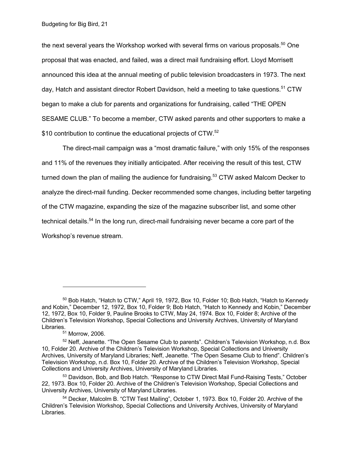the next several years the Workshop worked with several firms on various proposals. $^{50}$  One proposal that was enacted, and failed, was a direct mail fundraising effort. Lloyd Morrisett announced this idea at the annual meeting of public television broadcasters in 1973. The next day, Hatch and assistant director Robert Davidson, held a meeting to take questions.<sup>51</sup> CTW began to make a club for parents and organizations for fundraising, called "THE OPEN SESAME CLUB." To become a member, CTW asked parents and other supporters to make a \$10 contribution to continue the educational projects of CTW.<sup>52</sup>

The direct-mail campaign was a "most dramatic failure," with only 15% of the responses and 11% of the revenues they initially anticipated. After receiving the result of this test, CTW turned down the plan of mailing the audience for fundraising.<sup>53</sup> CTW asked Malcom Decker to analyze the direct-mail funding. Decker recommended some changes, including better targeting of the CTW magazine, expanding the size of the magazine subscriber list, and some other technical details.<sup>54</sup> In the long run, direct-mail fundraising never became a core part of the Workshop's revenue stream.

 $50$  Bob Hatch, "Hatch to CTW," April 19, 1972, Box 10, Folder 10; Bob Hatch, "Hatch to Kennedy and Kobin," December 12, 1972, Box 10, Folder 9; Bob Hatch, "Hatch to Kennedy and Kobin," December 12, 1972, Box 10, Folder 9, Pauline Brooks to CTW, May 24, 1974. Box 10, Folder 8; Archive of the Children's Television Workshop, Special Collections and University Archives, University of Maryland Libraries.

<sup>51</sup> Morrow, 2006.

<sup>&</sup>lt;sup>52</sup> Neff, Jeanette. "The Open Sesame Club to parents". Children's Television Workshop, n.d. Box 10, Folder 20. Archive of the Children's Television Workshop, Special Collections and University Archives, University of Maryland Libraries; Neff, Jeanette. "The Open Sesame Club to friend". Children's Television Workshop, n.d. Box 10, Folder 20. Archive of the Children's Television Workshop, Special Collections and University Archives, University of Maryland Libraries.

<sup>&</sup>lt;sup>53</sup> Davidson, Bob, and Bob Hatch. "Response to CTW Direct Mail Fund-Raising Tests," October 22, 1973. Box 10, Folder 20. Archive of the Children's Television Workshop, Special Collections and University Archives, University of Maryland Libraries.

<sup>54</sup> Decker, Malcolm B. "CTW Test Mailing", October 1, 1973. Box 10, Folder 20. Archive of the Children's Television Workshop, Special Collections and University Archives, University of Maryland Libraries.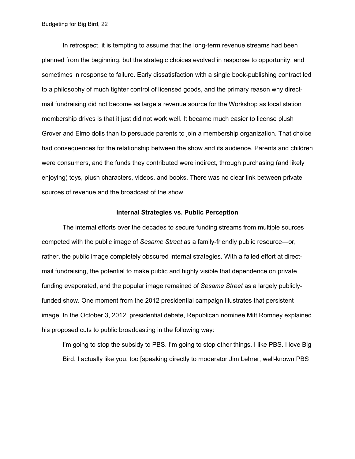In retrospect, it is tempting to assume that the long-term revenue streams had been planned from the beginning, but the strategic choices evolved in response to opportunity, and sometimes in response to failure. Early dissatisfaction with a single book-publishing contract led to a philosophy of much tighter control of licensed goods, and the primary reason why directmail fundraising did not become as large a revenue source for the Workshop as local station membership drives is that it just did not work well. It became much easier to license plush Grover and Elmo dolls than to persuade parents to join a membership organization. That choice had consequences for the relationship between the show and its audience. Parents and children were consumers, and the funds they contributed were indirect, through purchasing (and likely enjoying) toys, plush characters, videos, and books. There was no clear link between private sources of revenue and the broadcast of the show.

#### **Internal Strategies vs. Public Perception**

The internal efforts over the decades to secure funding streams from multiple sources competed with the public image of *Sesame Street* as a family-friendly public resource—or, rather, the public image completely obscured internal strategies. With a failed effort at directmail fundraising, the potential to make public and highly visible that dependence on private funding evaporated, and the popular image remained of *Sesame Street* as a largely publiclyfunded show. One moment from the 2012 presidential campaign illustrates that persistent image. In the October 3, 2012, presidential debate, Republican nominee Mitt Romney explained his proposed cuts to public broadcasting in the following way:

I'm going to stop the subsidy to PBS. I'm going to stop other things. I like PBS. I love Big Bird. I actually like you, too [speaking directly to moderator Jim Lehrer, well-known PBS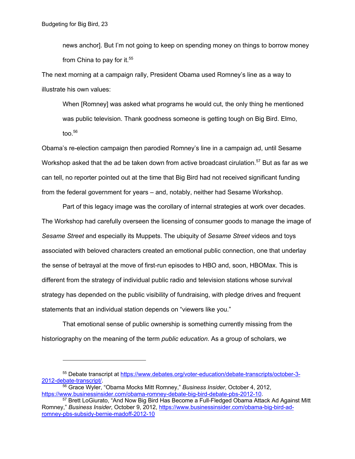news anchor]. But I'm not going to keep on spending money on things to borrow money from China to pay for it.<sup>55</sup>

The next morning at a campaign rally, President Obama used Romney's line as a way to illustrate his own values:

When [Romney] was asked what programs he would cut, the only thing he mentioned was public television. Thank goodness someone is getting tough on Big Bird. Elmo, too. $56$ 

Obama's re-election campaign then parodied Romney's line in a campaign ad, until Sesame Workshop asked that the ad be taken down from active broadcast cirulation.<sup>57</sup> But as far as we can tell, no reporter pointed out at the time that Big Bird had not received significant funding from the federal government for years – and, notably, neither had Sesame Workshop.

Part of this legacy image was the corollary of internal strategies at work over decades. The Workshop had carefully overseen the licensing of consumer goods to manage the image of *Sesame Street* and especially its Muppets. The ubiquity of *Sesame Street* videos and toys associated with beloved characters created an emotional public connection, one that underlay the sense of betrayal at the move of first-run episodes to HBO and, soon, HBOMax. This is different from the strategy of individual public radio and television stations whose survival strategy has depended on the public visibility of fundraising, with pledge drives and frequent statements that an individual station depends on "viewers like you."

That emotional sense of public ownership is something currently missing from the historiography on the meaning of the term *public education*. As a group of scholars, we

<sup>55</sup> Debate transcript at https://www.debates.org/voter-education/debate-transcripts/october-3- 2012-debate-transcript/. 56 Grace Wyler, "Obama Mocks Mitt Romney," *Business Insider*, October 4, 2012,

https://www.businessinsider.com/obama-romney-debate-big-bird-debate-pbs-2012-10.<br><sup>57</sup> Brett LoGiurato, "And Now Big Bird Has Become a Full-Fledged Obama Attack Ad Against Mitt

Romney," *Business Insider*, October 9, 2012, https://www.businessinsider.com/obama-big-bird-adromney-pbs-subsidy-bernie-madoff-2012-10